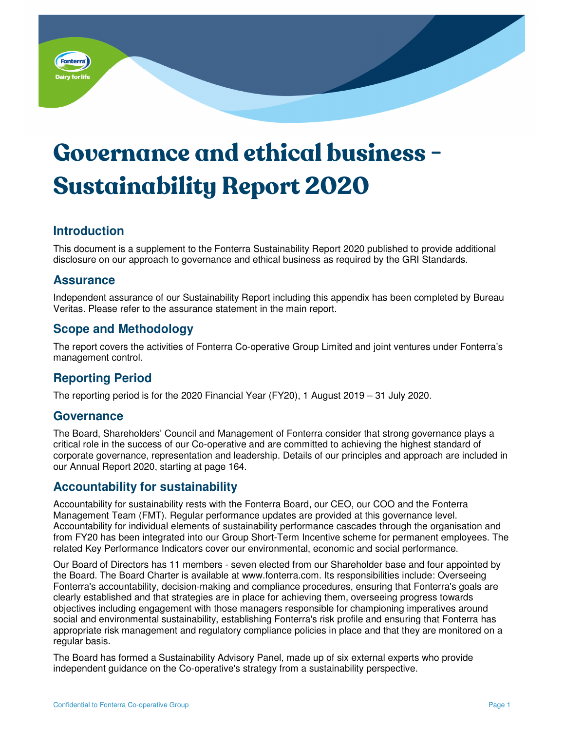

# **Governance and ethical business - Sustainability Report 2020**

# **Introduction**

This document is a supplement to the Fonterra Sustainability Report 2020 published to provide additional disclosure on our approach to governance and ethical business as required by the GRI Standards.

### **Assurance**

Independent assurance of our Sustainability Report including this appendix has been completed by Bureau Veritas. Please refer to the assurance statement in the main report.

# **Scope and Methodology**

The report covers the activities of Fonterra Co-operative Group Limited and joint ventures under Fonterra's management control.

# **Reporting Period**

The reporting period is for the 2020 Financial Year (FY20), 1 August 2019 – 31 July 2020.

#### **Governance**

The Board, Shareholders' Council and Management of Fonterra consider that strong governance plays a critical role in the success of our Co-operative and are committed to achieving the highest standard of corporate governance, representation and leadership. Details of our principles and approach are included in our Annual Report 2020, starting at page 164.

# **Accountability for sustainability**

Accountability for sustainability rests with the Fonterra Board, our CEO, our COO and the Fonterra Management Team (FMT). Regular performance updates are provided at this governance level. Accountability for individual elements of sustainability performance cascades through the organisation and from FY20 has been integrated into our Group Short-Term Incentive scheme for permanent employees. The related Key Performance Indicators cover our environmental, economic and social performance.

Our Board of Directors has 11 members - seven elected from our Shareholder base and four appointed by the Board. The Board Charter is available at www.fonterra.com. Its responsibilities include: Overseeing Fonterra's accountability, decision-making and compliance procedures, ensuring that Fonterra's goals are clearly established and that strategies are in place for achieving them, overseeing progress towards objectives including engagement with those managers responsible for championing imperatives around social and environmental sustainability, establishing Fonterra's risk profile and ensuring that Fonterra has appropriate risk management and regulatory compliance policies in place and that they are monitored on a regular basis.

The Board has formed a Sustainability Advisory Panel, made up of six external experts who provide independent guidance on the Co-operative's strategy from a sustainability perspective.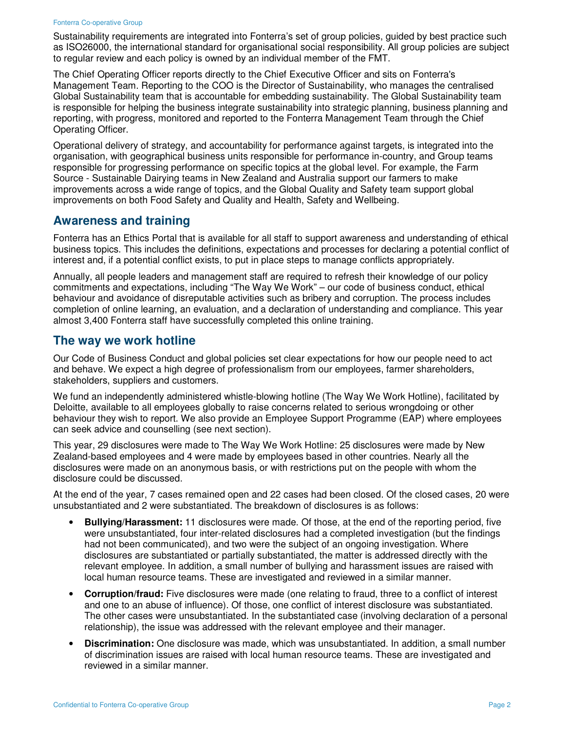#### Fonterra Co-operative Group

Sustainability requirements are integrated into Fonterra's set of group policies, guided by best practice such as ISO26000, the international standard for organisational social responsibility. All group policies are subject to regular review and each policy is owned by an individual member of the FMT.

The Chief Operating Officer reports directly to the Chief Executive Officer and sits on Fonterra's Management Team. Reporting to the COO is the Director of Sustainability, who manages the centralised Global Sustainability team that is accountable for embedding sustainability. The Global Sustainability team is responsible for helping the business integrate sustainability into strategic planning, business planning and reporting, with progress, monitored and reported to the Fonterra Management Team through the Chief Operating Officer.

Operational delivery of strategy, and accountability for performance against targets, is integrated into the organisation, with geographical business units responsible for performance in-country, and Group teams responsible for progressing performance on specific topics at the global level. For example, the Farm Source - Sustainable Dairying teams in New Zealand and Australia support our farmers to make improvements across a wide range of topics, and the Global Quality and Safety team support global improvements on both Food Safety and Quality and Health, Safety and Wellbeing.

#### **Awareness and training**

Fonterra has an Ethics Portal that is available for all staff to support awareness and understanding of ethical business topics. This includes the definitions, expectations and processes for declaring a potential conflict of interest and, if a potential conflict exists, to put in place steps to manage conflicts appropriately.

Annually, all people leaders and management staff are required to refresh their knowledge of our policy commitments and expectations, including "The Way We Work" – our code of business conduct, ethical behaviour and avoidance of disreputable activities such as bribery and corruption. The process includes completion of online learning, an evaluation, and a declaration of understanding and compliance. This year almost 3,400 Fonterra staff have successfully completed this online training.

#### **The way we work hotline**

Our Code of Business Conduct and global policies set clear expectations for how our people need to act and behave. We expect a high degree of professionalism from our employees, farmer shareholders, stakeholders, suppliers and customers.

We fund an independently administered whistle-blowing hotline (The Way We Work Hotline), facilitated by Deloitte, available to all employees globally to raise concerns related to serious wrongdoing or other behaviour they wish to report. We also provide an Employee Support Programme (EAP) where employees can seek advice and counselling (see next section).

This year, 29 disclosures were made to The Way We Work Hotline: 25 disclosures were made by New Zealand-based employees and 4 were made by employees based in other countries. Nearly all the disclosures were made on an anonymous basis, or with restrictions put on the people with whom the disclosure could be discussed.

At the end of the year, 7 cases remained open and 22 cases had been closed. Of the closed cases, 20 were unsubstantiated and 2 were substantiated. The breakdown of disclosures is as follows:

- **Bullying/Harassment:** 11 disclosures were made. Of those, at the end of the reporting period, five were unsubstantiated, four inter-related disclosures had a completed investigation (but the findings had not been communicated), and two were the subject of an ongoing investigation. Where disclosures are substantiated or partially substantiated, the matter is addressed directly with the relevant employee. In addition, a small number of bullying and harassment issues are raised with local human resource teams. These are investigated and reviewed in a similar manner.
- **Corruption/fraud:** Five disclosures were made (one relating to fraud, three to a conflict of interest and one to an abuse of influence). Of those, one conflict of interest disclosure was substantiated. The other cases were unsubstantiated. In the substantiated case (involving declaration of a personal relationship), the issue was addressed with the relevant employee and their manager.
- **Discrimination:** One disclosure was made, which was unsubstantiated. In addition, a small number of discrimination issues are raised with local human resource teams. These are investigated and reviewed in a similar manner.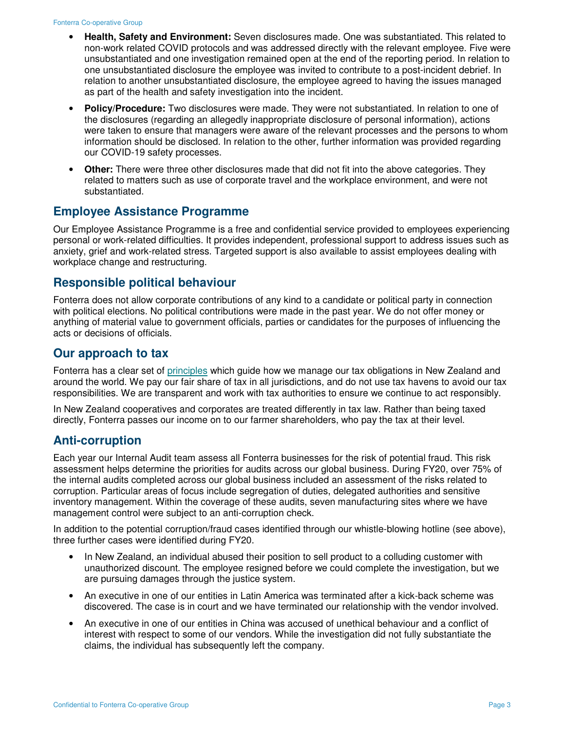- **Health, Safety and Environment:** Seven disclosures made. One was substantiated. This related to non-work related COVID protocols and was addressed directly with the relevant employee. Five were unsubstantiated and one investigation remained open at the end of the reporting period. In relation to one unsubstantiated disclosure the employee was invited to contribute to a post-incident debrief. In relation to another unsubstantiated disclosure, the employee agreed to having the issues managed as part of the health and safety investigation into the incident.
- **Policy/Procedure:** Two disclosures were made. They were not substantiated. In relation to one of the disclosures (regarding an allegedly inappropriate disclosure of personal information), actions were taken to ensure that managers were aware of the relevant processes and the persons to whom information should be disclosed. In relation to the other, further information was provided regarding our COVID-19 safety processes.
- **Other:** There were three other disclosures made that did not fit into the above categories. They related to matters such as use of corporate travel and the workplace environment, and were not substantiated.

# **Employee Assistance Programme**

Our Employee Assistance Programme is a free and confidential service provided to employees experiencing personal or work-related difficulties. It provides independent, professional support to address issues such as anxiety, grief and work-related stress. Targeted support is also available to assist employees dealing with workplace change and restructuring.

### **Responsible political behaviour**

Fonterra does not allow corporate contributions of any kind to a candidate or political party in connection with political elections. No political contributions were made in the past year. We do not offer money or anything of material value to government officials, parties or candidates for the purposes of influencing the acts or decisions of officials.

# **Our approach to tax**

Fonterra has a clear set of principles which guide how we manage our tax obligations in New Zealand and around the world. We pay our fair share of tax in all jurisdictions, and do not use tax havens to avoid our tax responsibilities. We are transparent and work with tax authorities to ensure we continue to act responsibly.

In New Zealand cooperatives and corporates are treated differently in tax law. Rather than being taxed directly, Fonterra passes our income on to our farmer shareholders, who pay the tax at their level.

# **Anti-corruption**

Each year our Internal Audit team assess all Fonterra businesses for the risk of potential fraud. This risk assessment helps determine the priorities for audits across our global business. During FY20, over 75% of the internal audits completed across our global business included an assessment of the risks related to corruption. Particular areas of focus include segregation of duties, delegated authorities and sensitive inventory management. Within the coverage of these audits, seven manufacturing sites where we have management control were subject to an anti-corruption check.

In addition to the potential corruption/fraud cases identified through our whistle-blowing hotline (see above), three further cases were identified during FY20.

- In New Zealand, an individual abused their position to sell product to a colluding customer with unauthorized discount. The employee resigned before we could complete the investigation, but we are pursuing damages through the justice system.
- An executive in one of our entities in Latin America was terminated after a kick-back scheme was discovered. The case is in court and we have terminated our relationship with the vendor involved.
- An executive in one of our entities in China was accused of unethical behaviour and a conflict of interest with respect to some of our vendors. While the investigation did not fully substantiate the claims, the individual has subsequently left the company.